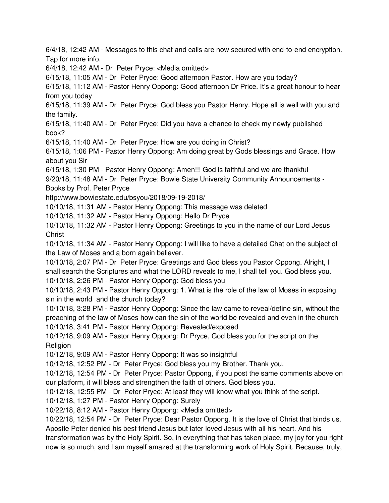6/4/18, 12:42 AM - Messages to this chat and calls are now secured with end-to-end encryption. Tap for more info.

6/4/18, 12:42 AM - Dr Peter Pryce: <Media omitted>

6/15/18, 11:05 AM - Dr Peter Pryce: Good afternoon Pastor. How are you today?

6/15/18, 11:12 AM - Pastor Henry Oppong: Good afternoon Dr Price. It's a great honour to hear from you today

6/15/18, 11:39 AM - Dr Peter Pryce: God bless you Pastor Henry. Hope all is well with you and the family.

6/15/18, 11:40 AM - Dr Peter Pryce: Did you have a chance to check my newly published book?

6/15/18, 11:40 AM - Dr Peter Pryce: How are you doing in Christ?

6/15/18, 1:06 PM - Pastor Henry Oppong: Am doing great by Gods blessings and Grace. How about you Sir

6/15/18, 1:30 PM - Pastor Henry Oppong: Amen!!! God is faithful and we are thankful

9/20/18, 11:48 AM - Dr Peter Pryce: Bowie State University Community Announcements - Books by Prof. Peter Pryce

http://www.bowiestate.edu/bsyou/2018/09-19-2018/

10/10/18, 11:31 AM - Pastor Henry Oppong: This message was deleted

10/10/18, 11:32 AM - Pastor Henry Oppong: Hello Dr Pryce

10/10/18, 11:32 AM - Pastor Henry Oppong: Greetings to you in the name of our Lord Jesus Christ

10/10/18, 11:34 AM - Pastor Henry Oppong: I will like to have a detailed Chat on the subject of the Law of Moses and a born again believer.

10/10/18, 2:07 PM - Dr Peter Pryce: Greetings and God bless you Pastor Oppong. Alright, l shall search the Scriptures and what the LORD reveals to me, l shall tell you. God bless you. 10/10/18, 2:26 PM - Pastor Henry Oppong: God bless you

10/10/18, 2:43 PM - Pastor Henry Oppong: 1. What is the role of the law of Moses in exposing sin in the world and the church today?

10/10/18, 3:28 PM - Pastor Henry Oppong: Since the law came to reveal/define sin, without the preaching of the law of Moses how can the sin of the world be revealed and even in the church

10/10/18, 3:41 PM - Pastor Henry Oppong: Revealed/exposed

10/12/18, 9:09 AM - Pastor Henry Oppong: Dr Pryce, God bless you for the script on the Religion

10/12/18, 9:09 AM - Pastor Henry Oppong: It was so insightful

10/12/18, 12:52 PM - Dr Peter Pryce: God bless you my Brother. Thank you.

10/12/18, 12:54 PM - Dr Peter Pryce: Pastor Oppong, if you post the same comments above on our platform, it will bless and strengthen the faith of others. God bless you.

10/12/18, 12:55 PM - Dr Peter Pryce: At least they will know what you think of the script.

10/12/18, 1:27 PM - Pastor Henry Oppong: Surely

10/22/18, 8:12 AM - Pastor Henry Oppong: <Media omitted>

10/22/18, 12:54 PM - Dr Peter Pryce: Dear Pastor Oppong. It is the love of Christ that binds us. Apostle Peter denied his best friend Jesus but later loved Jesus with all his heart. And his transformation was by the Holy Spirit. So, in everything that has taken place, my joy for you right now is so much, and l am myself amazed at the transforming work of Holy Spirit. Because, truly,